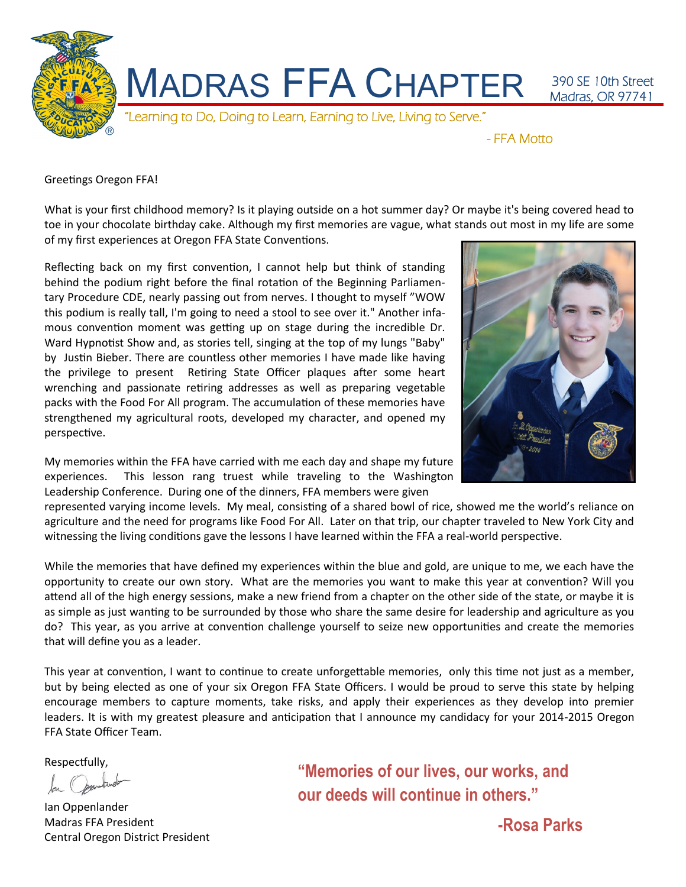

Greetings Oregon FFA!

What is your first childhood memory? Is it playing outside on a hot summer day? Or maybe it's being covered head to toe in your chocolate birthday cake. Although my first memories are vague, what stands out most in my life are some of my first experiences at Oregon FFA State Conventions.

Reflecting back on my first convention, I cannot help but think of standing behind the podium right before the final rotation of the Beginning Parliamentary Procedure CDE, nearly passing out from nerves. I thought to myself "WOW this podium is really tall, I'm going to need a stool to see over it." Another infamous convention moment was getting up on stage during the incredible Dr. Ward Hypnotist Show and, as stories tell, singing at the top of my lungs "Baby" by Justin Bieber. There are countless other memories I have made like having the privilege to present Retiring State Officer plaques after some heart wrenching and passionate retiring addresses as well as preparing vegetable packs with the Food For All program. The accumulation of these memories have strengthened my agricultural roots, developed my character, and opened my perspective.

My memories within the FFA have carried with me each day and shape my future experiences. This lesson rang truest while traveling to the Washington Leadership Conference. During one of the dinners, FFA members were given



represented varying income levels. My meal, consisting of a shared bowl of rice, showed me the world's reliance on agriculture and the need for programs like Food For All. Later on that trip, our chapter traveled to New York City and witnessing the living conditions gave the lessons I have learned within the FFA a real-world perspective.

While the memories that have defined my experiences within the blue and gold, are unique to me, we each have the opportunity to create our own story. What are the memories you want to make this year at convention? Will you attend all of the high energy sessions, make a new friend from a chapter on the other side of the state, or maybe it is as simple as just wanting to be surrounded by those who share the same desire for leadership and agriculture as you do? This year, as you arrive at convention challenge yourself to seize new opportunities and create the memories that will define you as a leader.

This year at convention, I want to continue to create unforgettable memories, only this time not just as a member, but by being elected as one of your six Oregon FFA State Officers. I would be proud to serve this state by helping encourage members to capture moments, take risks, and apply their experiences as they develop into premier leaders. It is with my greatest pleasure and anticipation that I announce my candidacy for your 2014-2015 Oregon FFA State Officer Team.

Respectfully,

Ian Oppenlander Madras FFA President Central Oregon District President

**"Memories of our lives, our works, and our deeds will continue in others."**

**-Rosa Parks**